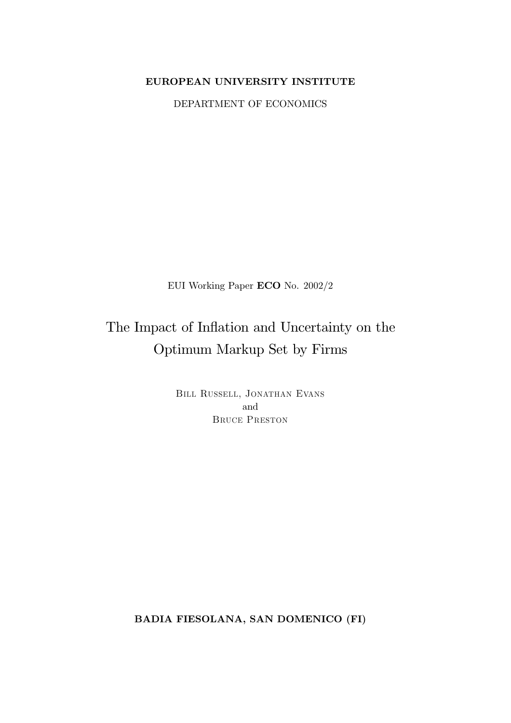# EUROPEAN UNIVERSITY INSTITUTE

DEPARTMENT OF ECONOMICS

EUI Working Paper ECO No. 2002/2

# The Impact of Inflation and Uncertainty on the Optimum Markup Set by Firms

BILL RUSSELL, JONATHAN EVANS and **BRUCE PRESTON** 

BADIA FIESOLANA, SAN DOMENICO (FI)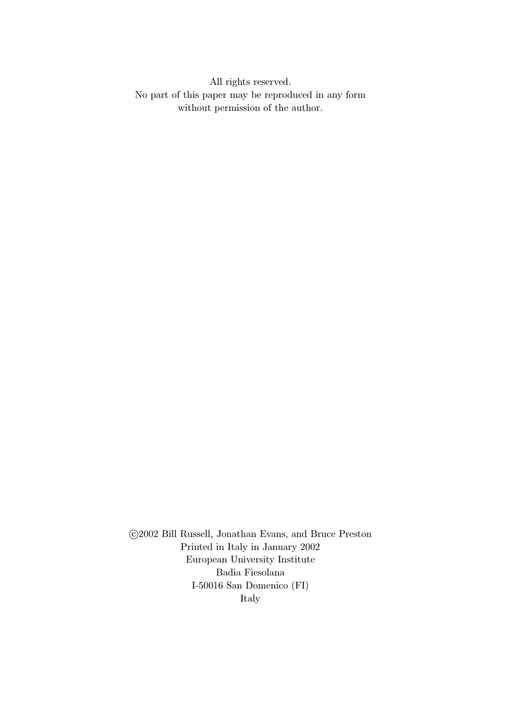All rights reserved. No part of this paper may be reproduced in any form without permission of the author.

 $\odot$ 2002 Bill Russell, Jonathan Evans, and Bruce Preston Printed in Italy in January 2002 European University Institute Badia Fiesolana I-50016 San Domenico (FI) Italy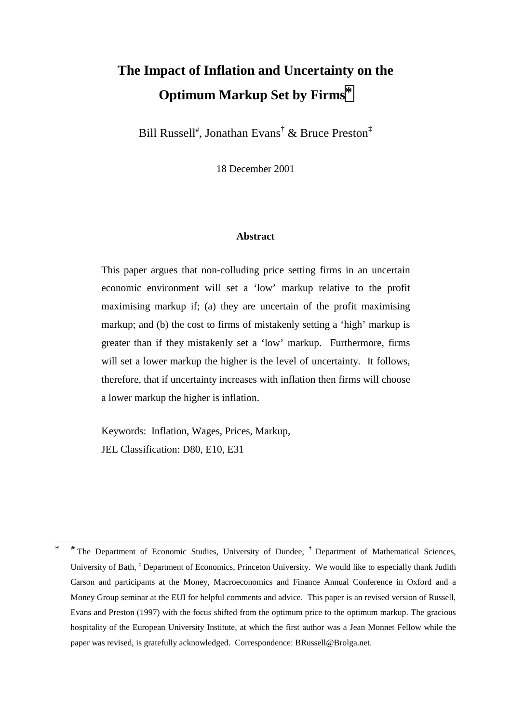# **The Impact of Inflation and Uncertainty on the Optimum Markup Set by Firms\***

Bill Russell<sup>#</sup>, Jonathan Evans<sup>†</sup> & Bruce Preston<sup>‡</sup>

18 December 2001

#### **Abstract**

This paper argues that non-colluding price setting firms in an uncertain economic environment will set a 'low' markup relative to the profit maximising markup if; (a) they are uncertain of the profit maximising markup; and (b) the cost to firms of mistakenly setting a 'high' markup is greater than if they mistakenly set a 'low' markup. Furthermore, firms will set a lower markup the higher is the level of uncertainty. It follows, therefore, that if uncertainty increases with inflation then firms will choose a lower markup the higher is inflation.

Keywords: Inflation, Wages, Prices, Markup, JEL Classification: D80, E10, E31

 <sup>\*</sup> # The Department of Economic Studies, University of Dundee, **†** Department of Mathematical Sciences, University of Bath, **‡** Department of Economics, Princeton University. We would like to especially thank Judith Carson and participants at the Money, Macroeconomics and Finance Annual Conference in Oxford and a Money Group seminar at the EUI for helpful comments and advice. This paper is an revised version of Russell, Evans and Preston (1997) with the focus shifted from the optimum price to the optimum markup. The gracious hospitality of the European University Institute, at which the first author was a Jean Monnet Fellow while the paper was revised, is gratefully acknowledged. Correspondence: BRussell@Brolga.net.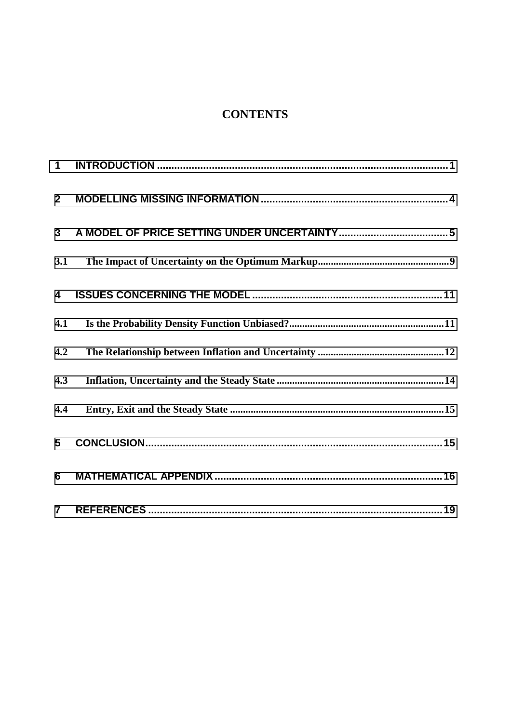# **CONTENTS**

| $\mathbf 1$             |  |
|-------------------------|--|
| $\overline{2}$          |  |
| 3                       |  |
| 3.1                     |  |
| $\overline{\mathbf{4}}$ |  |
| 4.1                     |  |
| 4.2                     |  |
| 4.3                     |  |
| 4.4                     |  |
| 5                       |  |
| 6                       |  |
| $\overline{7}$          |  |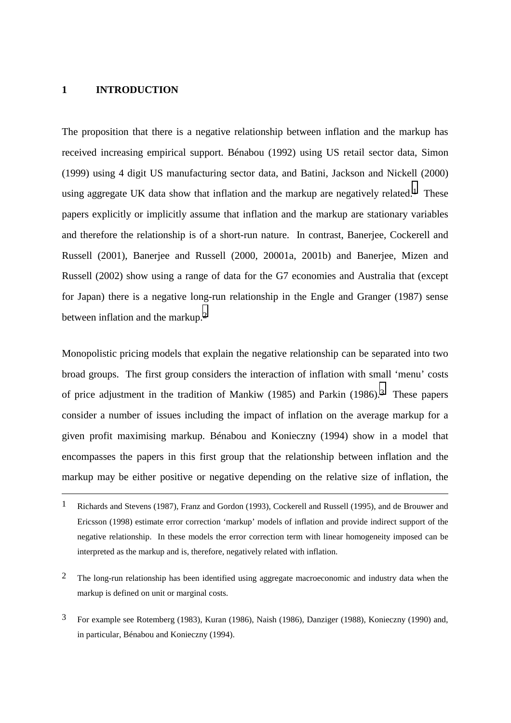# <span id="page-4-0"></span>**1 INTRODUCTION**

 $\overline{a}$ 

The proposition that there is a negative relationship between inflation and the markup has received increasing empirical support. Bénabou (1992) using US retail sector data, Simon (1999) using 4 digit US manufacturing sector data, and Batini, Jackson and Nickell (2000) using aggregate UK data show that inflation and the markup are negatively related.<sup>1</sup> These papers explicitly or implicitly assume that inflation and the markup are stationary variables and therefore the relationship is of a short-run nature. In contrast, Banerjee, Cockerell and Russell (2001), Banerjee and Russell (2000, 20001a, 2001b) and Banerjee, Mizen and Russell (2002) show using a range of data for the G7 economies and Australia that (except for Japan) there is a negative long-run relationship in the Engle and Granger (1987) sense between inflation and the markup.2

Monopolistic pricing models that explain the negative relationship can be separated into two broad groups. The first group considers the interaction of inflation with small 'menu' costs of price adjustment in the tradition of Mankiw (1985) and Parkin (1986).3 These papers consider a number of issues including the impact of inflation on the average markup for a given profit maximising markup. Bénabou and Konieczny (1994) show in a model that encompasses the papers in this first group that the relationship between inflation and the markup may be either positive or negative depending on the relative size of inflation, the

3 For example see Rotemberg (1983), Kuran (1986), Naish (1986), Danziger (1988), Konieczny (1990) and, in particular, Bénabou and Konieczny (1994).

<sup>1</sup> Richards and Stevens (1987), Franz and Gordon (1993), Cockerell and Russell (1995), and de Brouwer and Ericsson (1998) estimate error correction 'markup' models of inflation and provide indirect support of the negative relationship. In these models the error correction term with linear homogeneity imposed can be interpreted as the markup and is, therefore, negatively related with inflation.

<sup>&</sup>lt;sup>2</sup> The long-run relationship has been identified using aggregate macroeconomic and industry data when the markup is defined on unit or marginal costs.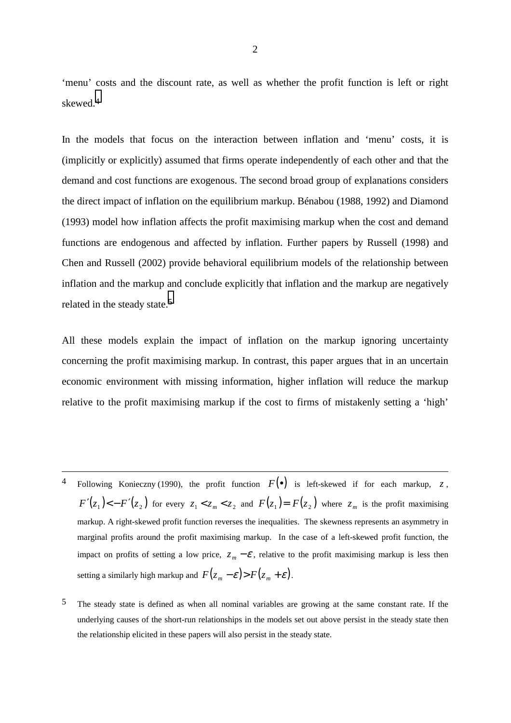'menu' costs and the discount rate, as well as whether the profit function is left or right skewed.4

In the models that focus on the interaction between inflation and 'menu' costs, it is (implicitly or explicitly) assumed that firms operate independently of each other and that the demand and cost functions are exogenous. The second broad group of explanations considers the direct impact of inflation on the equilibrium markup. Bénabou (1988, 1992) and Diamond (1993) model how inflation affects the profit maximising markup when the cost and demand functions are endogenous and affected by inflation. Further papers by Russell (1998) and Chen and Russell (2002) provide behavioral equilibrium models of the relationship between inflation and the markup and conclude explicitly that inflation and the markup are negatively related in the steady state.5

All these models explain the impact of inflation on the markup ignoring uncertainty concerning the profit maximising markup. In contrast, this paper argues that in an uncertain economic environment with missing information, higher inflation will reduce the markup relative to the profit maximising markup if the cost to firms of mistakenly setting a 'high'

Following Konieczny (1990), the profit function  $F(\bullet)$  is left-skewed if for each markup, *z*,  $F'(z_1) < -F'(z_2)$  for every  $z_1 < z_m < z_2$  and  $F(z_1) = F(z_2)$  where  $z_m$  is the profit maximising markup. A right-skewed profit function reverses the inequalities. The skewness represents an asymmetry in marginal profits around the profit maximising markup. In the case of a left-skewed profit function, the impact on profits of setting a low price,  $z_m - \mathcal{E}$ , relative to the profit maximising markup is less then setting a similarly high markup and  $F(z_m - \varepsilon) > F(z_m + \varepsilon)$ .

 $\overline{a}$ 

5 The steady state is defined as when all nominal variables are growing at the same constant rate. If the underlying causes of the short-run relationships in the models set out above persist in the steady state then the relationship elicited in these papers will also persist in the steady state.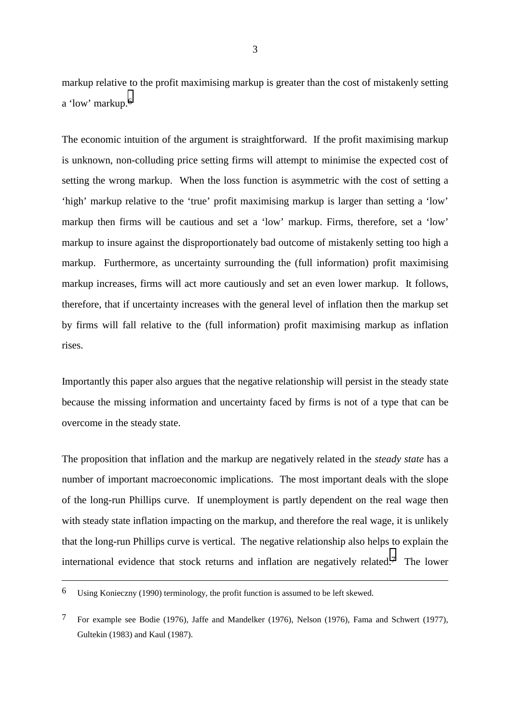markup relative to the profit maximising markup is greater than the cost of mistakenly setting a 'low' markup.6

The economic intuition of the argument is straightforward. If the profit maximising markup is unknown, non-colluding price setting firms will attempt to minimise the expected cost of setting the wrong markup. When the loss function is asymmetric with the cost of setting a 'high' markup relative to the 'true' profit maximising markup is larger than setting a 'low' markup then firms will be cautious and set a 'low' markup. Firms, therefore, set a 'low' markup to insure against the disproportionately bad outcome of mistakenly setting too high a markup. Furthermore, as uncertainty surrounding the (full information) profit maximising markup increases, firms will act more cautiously and set an even lower markup. It follows, therefore, that if uncertainty increases with the general level of inflation then the markup set by firms will fall relative to the (full information) profit maximising markup as inflation rises.

Importantly this paper also argues that the negative relationship will persist in the steady state because the missing information and uncertainty faced by firms is not of a type that can be overcome in the steady state.

The proposition that inflation and the markup are negatively related in the *steady state* has a number of important macroeconomic implications. The most important deals with the slope of the long-run Phillips curve. If unemployment is partly dependent on the real wage then with steady state inflation impacting on the markup, and therefore the real wage, it is unlikely that the long-run Phillips curve is vertical. The negative relationship also helps to explain the international evidence that stock returns and inflation are negatively related.7 The lower

 $\overline{a}$ 

<sup>6</sup> Using Konieczny (1990) terminology, the profit function is assumed to be left skewed.

<sup>7</sup> For example see Bodie (1976), Jaffe and Mandelker (1976), Nelson (1976), Fama and Schwert (1977), Gultekin (1983) and Kaul (1987).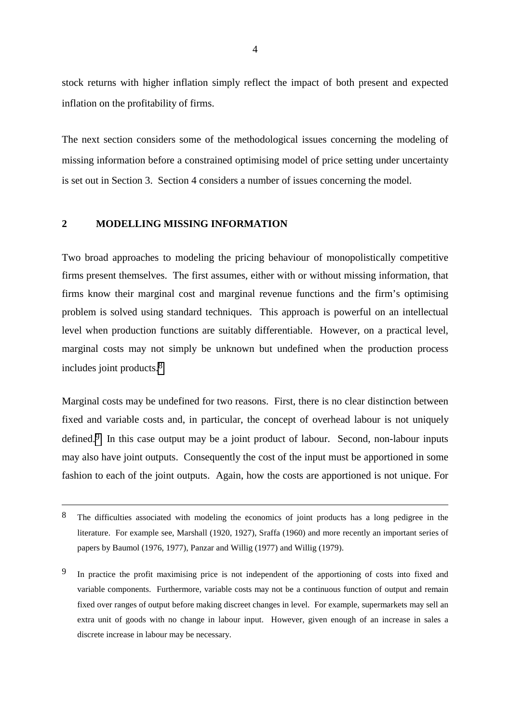<span id="page-7-0"></span>stock returns with higher inflation simply reflect the impact of both present and expected inflation on the profitability of firms.

The next section considers some of the methodological issues concerning the modeling of missing information before a constrained optimising model of price setting under uncertainty is set out in Section 3. Section 4 considers a number of issues concerning the model.

# **2 MODELLING MISSING INFORMATION**

 $\overline{a}$ 

Two broad approaches to modeling the pricing behaviour of monopolistically competitive firms present themselves. The first assumes, either with or without missing information, that firms know their marginal cost and marginal revenue functions and the firm's optimising problem is solved using standard techniques. This approach is powerful on an intellectual level when production functions are suitably differentiable. However, on a practical level, marginal costs may not simply be unknown but undefined when the production process includes joint products.8

Marginal costs may be undefined for two reasons. First, there is no clear distinction between fixed and variable costs and, in particular, the concept of overhead labour is not uniquely defined.<sup>9</sup> In this case output may be a joint product of labour. Second, non-labour inputs may also have joint outputs. Consequently the cost of the input must be apportioned in some fashion to each of the joint outputs. Again, how the costs are apportioned is not unique. For

<sup>8</sup> The difficulties associated with modeling the economics of joint products has a long pedigree in the literature. For example see, Marshall (1920, 1927), Sraffa (1960) and more recently an important series of papers by Baumol (1976, 1977), Panzar and Willig (1977) and Willig (1979).

<sup>9</sup> In practice the profit maximising price is not independent of the apportioning of costs into fixed and variable components. Furthermore, variable costs may not be a continuous function of output and remain fixed over ranges of output before making discreet changes in level. For example, supermarkets may sell an extra unit of goods with no change in labour input. However, given enough of an increase in sales a discrete increase in labour may be necessary.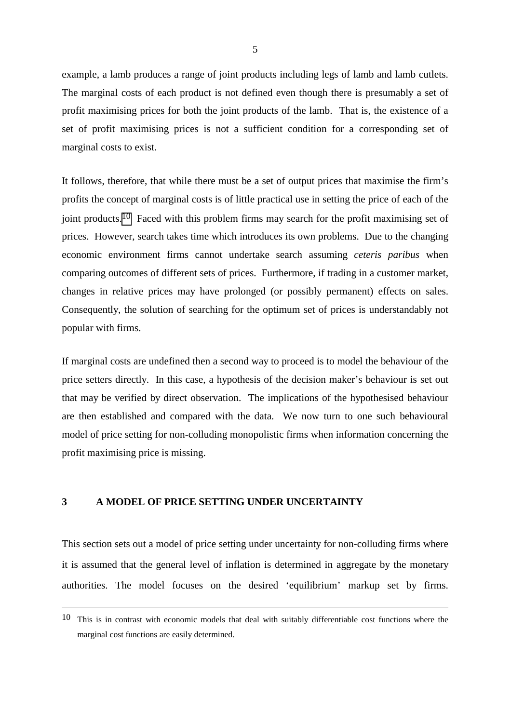<span id="page-8-0"></span>example, a lamb produces a range of joint products including legs of lamb and lamb cutlets. The marginal costs of each product is not defined even though there is presumably a set of profit maximising prices for both the joint products of the lamb. That is, the existence of a set of profit maximising prices is not a sufficient condition for a corresponding set of marginal costs to exist.

It follows, therefore, that while there must be a set of output prices that maximise the firm's profits the concept of marginal costs is of little practical use in setting the price of each of the joint products.10 Faced with this problem firms may search for the profit maximising set of prices. However, search takes time which introduces its own problems. Due to the changing economic environment firms cannot undertake search assuming *ceteris paribus* when comparing outcomes of different sets of prices. Furthermore, if trading in a customer market, changes in relative prices may have prolonged (or possibly permanent) effects on sales. Consequently, the solution of searching for the optimum set of prices is understandably not popular with firms.

If marginal costs are undefined then a second way to proceed is to model the behaviour of the price setters directly. In this case, a hypothesis of the decision maker's behaviour is set out that may be verified by direct observation. The implications of the hypothesised behaviour are then established and compared with the data. We now turn to one such behavioural model of price setting for non-colluding monopolistic firms when information concerning the profit maximising price is missing.

# **3 A MODEL OF PRICE SETTING UNDER UNCERTAINTY**

 $\overline{a}$ 

This section sets out a model of price setting under uncertainty for non-colluding firms where it is assumed that the general level of inflation is determined in aggregate by the monetary authorities. The model focuses on the desired 'equilibrium' markup set by firms.

<sup>10</sup> This is in contrast with economic models that deal with suitably differentiable cost functions where the marginal cost functions are easily determined.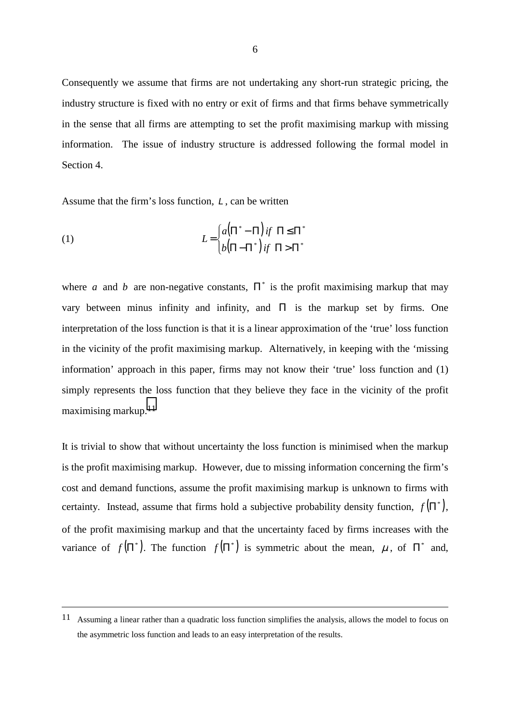Consequently we assume that firms are not undertaking any short-run strategic pricing, the industry structure is fixed with no entry or exit of firms and that firms behave symmetrically in the sense that all firms are attempting to set the profit maximising markup with missing information. The issue of industry structure is addressed following the formal model in Section 4.

Assume that the firm's loss function, *L* , can be written

 $\overline{a}$ 

(1) 
$$
L = \begin{cases} a(\Pi^* - \Pi) \text{ if } \Pi \leq \Pi^* \\ b(\Pi - \Pi^*) \text{ if } \Pi > \Pi^* \end{cases}
$$

where *a* and *b* are non-negative constants,  $\Pi^*$  is the profit maximising markup that may vary between minus infinity and infinity, and  $\Pi$  is the markup set by firms. One interpretation of the loss function is that it is a linear approximation of the 'true' loss function in the vicinity of the profit maximising markup. Alternatively, in keeping with the 'missing information' approach in this paper, firms may not know their 'true' loss function and (1) simply represents the loss function that they believe they face in the vicinity of the profit maximising markup.11

It is trivial to show that without uncertainty the loss function is minimised when the markup is the profit maximising markup. However, due to missing information concerning the firm's cost and demand functions, assume the profit maximising markup is unknown to firms with certainty. Instead, assume that firms hold a subjective probability density function,  $f(\Pi^*)$ , of the profit maximising markup and that the uncertainty faced by firms increases with the variance of  $f(\Pi^*)$ . The function  $f(\Pi^*)$  is symmetric about the mean,  $\mu$ , of  $\Pi^*$  and,

<sup>11</sup> Assuming a linear rather than a quadratic loss function simplifies the analysis, allows the model to focus on the asymmetric loss function and leads to an easy interpretation of the results.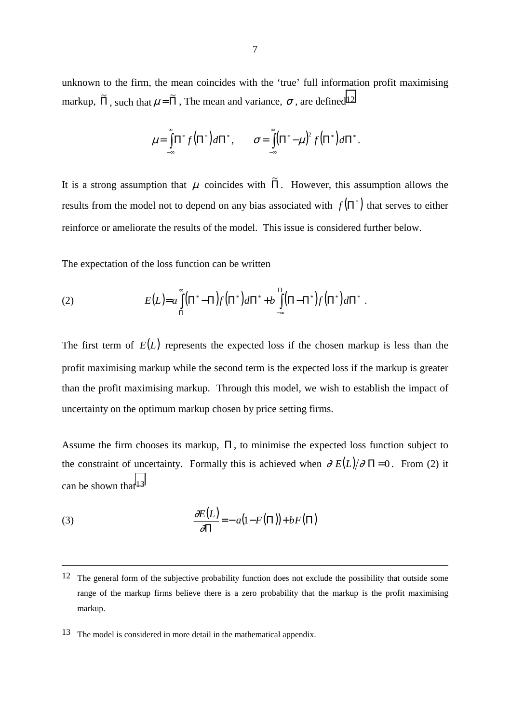unknown to the firm, the mean coincides with the 'true' full information profit maximising markup,  $\tilde{\Pi}$ , such that  $\mu = \tilde{\Pi}$ , The mean and variance,  $\sigma$ , are defined<sup>12</sup>

$$
\mu = \int_{-\infty}^{\infty} \Pi^* f(\Pi^*) d\Pi^*, \qquad \sigma = \int_{-\infty}^{\infty} (\Pi^* - \mu)^2 f(\Pi^*) d\Pi^*.
$$

It is a strong assumption that  $\mu$  coincides with  $\tilde{\Pi}$ . However, this assumption allows the results from the model not to depend on any bias associated with  $f(\Pi^*)$  that serves to either reinforce or ameliorate the results of the model. This issue is considered further below.

The expectation of the loss function can be written

(2) 
$$
E(L)=a\int_{\Pi}^{\infty}(\Pi^*-\Pi)f(\Pi^*)d\Pi^*+b\int_{-\infty}^{\Pi}(\Pi-\Pi^*)f(\Pi^*)d\Pi^*.
$$

The first term of  $E(L)$  represents the expected loss if the chosen markup is less than the profit maximising markup while the second term is the expected loss if the markup is greater than the profit maximising markup. Through this model, we wish to establish the impact of uncertainty on the optimum markup chosen by price setting firms.

Assume the firm chooses its markup,  $\Pi$ , to minimise the expected loss function subject to the constraint of uncertainty. Formally this is achieved when  $\partial E(L)/\partial \Pi = 0$ . From (2) it can be shown that  $13$ 

(3) 
$$
\frac{\partial E(L)}{\partial \Pi} = -a(1 - F(\Pi)) + bF(\Pi)
$$

 $\overline{a}$ 

<sup>&</sup>lt;sup>12</sup> The general form of the subjective probability function does not exclude the possibility that outside some range of the markup firms believe there is a zero probability that the markup is the profit maximising markup.

<sup>13</sup> The model is considered in more detail in the mathematical appendix.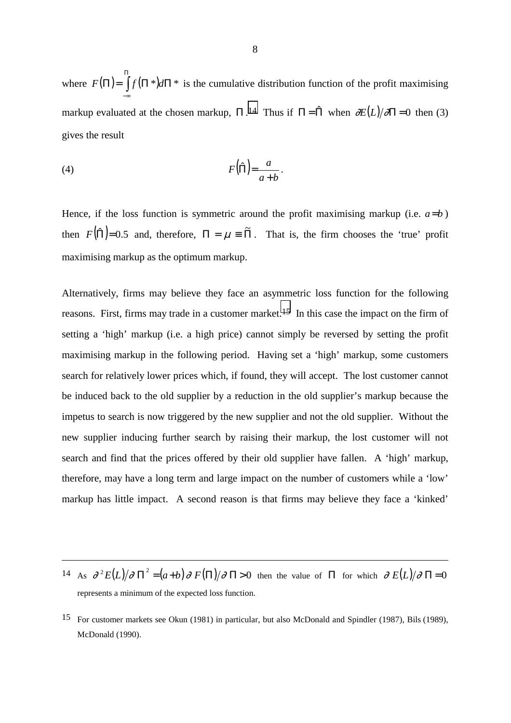where  $F(\Pi) = \int_{0}^{\Pi} f(\Pi^*) d\Pi^*$ −∞  $F(\Pi) = |f(\Pi^*)d\Pi^*|$  is the cumulative distribution function of the profit maximising markup evaluated at the chosen markup,  $\Pi$ .<sup>14</sup> Thus if  $\Pi = \hat{\Pi}$  when  $\partial E(L)/\partial \Pi = 0$  then (3) gives the result

$$
(4) \tF(\hat{\Pi}) = \frac{a}{a+b}.
$$

 $\overline{a}$ 

Hence, if the loss function is symmetric around the profit maximising markup (i.e.  $a=b$ ) then  $F(\hat{\Pi})=0.5$  and, therefore,  $\Pi = \mu \equiv \tilde{\Pi}$ . That is, the firm chooses the 'true' profit maximising markup as the optimum markup.

Alternatively, firms may believe they face an asymmetric loss function for the following reasons. First, firms may trade in a customer market.<sup>15</sup> In this case the impact on the firm of setting a 'high' markup (i.e. a high price) cannot simply be reversed by setting the profit maximising markup in the following period. Having set a 'high' markup, some customers search for relatively lower prices which, if found, they will accept. The lost customer cannot be induced back to the old supplier by a reduction in the old supplier's markup because the impetus to search is now triggered by the new supplier and not the old supplier. Without the new supplier inducing further search by raising their markup, the lost customer will not search and find that the prices offered by their old supplier have fallen. A 'high' markup, therefore, may have a long term and large impact on the number of customers while a 'low' markup has little impact. A second reason is that firms may believe they face a 'kinked'

<sup>14</sup> As  $\frac{\partial^2 E(L)}{\partial \Pi^2} = (a+b)\frac{\partial F(\Pi)}{\partial \Pi} > 0$  then the value of  $\Pi$  for which  $\frac{\partial E(L)}{\partial \Pi} = 0$ represents a minimum of the expected loss function.

<sup>15</sup> For customer markets see Okun (1981) in particular, but also McDonald and Spindler (1987), Bils (1989), McDonald (1990).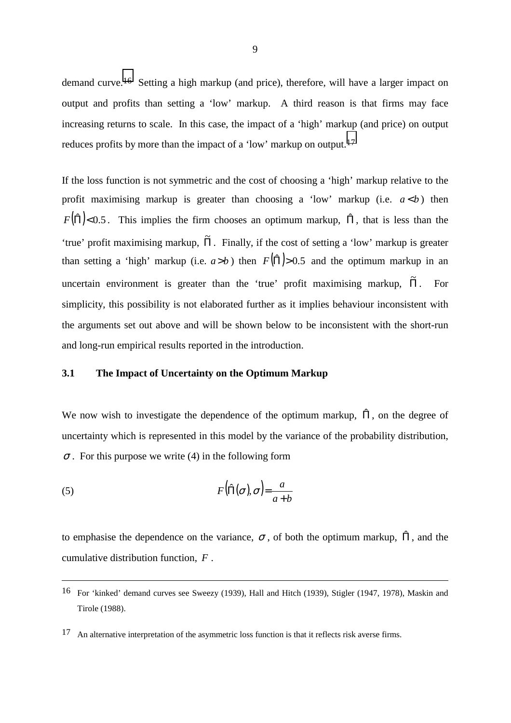<span id="page-12-0"></span>demand curve.16 Setting a high markup (and price), therefore, will have a larger impact on output and profits than setting a 'low' markup. A third reason is that firms may face increasing returns to scale. In this case, the impact of a 'high' markup (and price) on output reduces profits by more than the impact of a 'low' markup on output.17

If the loss function is not symmetric and the cost of choosing a 'high' markup relative to the profit maximising markup is greater than choosing a 'low' markup (i.e.  $a < b$ ) then  $F(\hat{\Pi})$ <0.5. This implies the firm chooses an optimum markup,  $\hat{\Pi}$ , that is less than the 'true' profit maximising markup, Π . Finally, if the cost of setting a 'low' markup is greater than setting a 'high' markup (i.e.  $a > b$ ) then  $F(\hat{\Pi}) > 0.5$  and the optimum markup in an uncertain environment is greater than the 'true' profit maximising markup,  $\tilde{\Pi}$ . For simplicity, this possibility is not elaborated further as it implies behaviour inconsistent with the arguments set out above and will be shown below to be inconsistent with the short-run and long-run empirical results reported in the introduction.

# **3.1 The Impact of Uncertainty on the Optimum Markup**

We now wish to investigate the dependence of the optimum markup,  $\hat{\Pi}$ , on the degree of uncertainty which is represented in this model by the variance of the probability distribution,  $\sigma$ . For this purpose we write (4) in the following form

(5) 
$$
F(\hat{\Pi}(\sigma), \sigma) = \frac{a}{a+b}
$$

 $\overline{a}$ 

to emphasise the dependence on the variance,  $\sigma$ , of both the optimum markup,  $\hat{\Pi}$ , and the cumulative distribution function, *F* .

<sup>16</sup> For 'kinked' demand curves see Sweezy (1939), Hall and Hitch (1939), Stigler (1947, 1978), Maskin and Tirole (1988).

<sup>&</sup>lt;sup>17</sup> An alternative interpretation of the asymmetric loss function is that it reflects risk averse firms.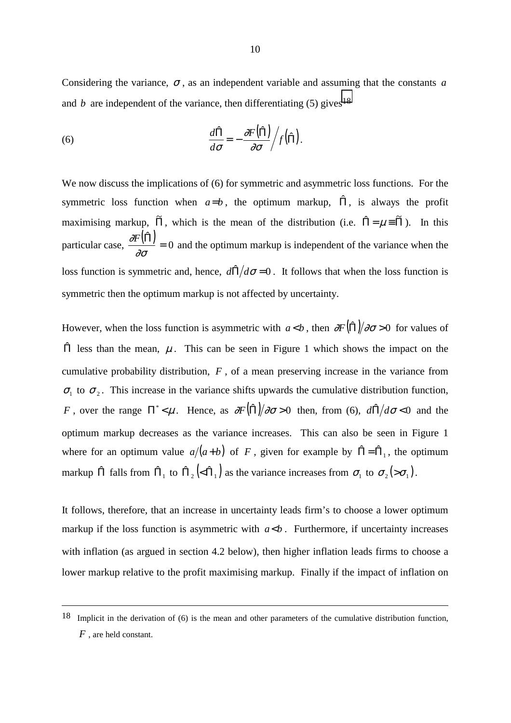Considering the variance,  $\sigma$ , as an independent variable and assuming that the constants *a* and *b* are independent of the variance, then differentiating  $(5)$  gives<sup>18</sup>

(6) 
$$
\frac{d\hat{\Pi}}{d\sigma} = -\frac{\partial F(\hat{\Pi})}{\partial \sigma} / f(\hat{\Pi}).
$$

We now discuss the implications of (6) for symmetric and asymmetric loss functions. For the symmetric loss function when  $a=b$ , the optimum markup,  $\hat{\Pi}$ , is always the profit maximising markup,  $\tilde{\Pi}$ , which is the mean of the distribution (i.e.  $\hat{\Pi} = \mu \equiv \tilde{\Pi}$ ). In this particular case,  $\frac{\partial F(\hat{\Pi})}{\partial \sigma} = 0$  and the optimum markup is independent of the variance when the loss function is symmetric and, hence,  $d\hat{\Pi}/d\sigma = 0$ . It follows that when the loss function is symmetric then the optimum markup is not affected by uncertainty.

However, when the loss function is asymmetric with  $a < b$ , then  $\partial F(\hat{\Pi})/\partial \sigma > 0$  for values of  $\Pi$  less than the mean,  $\mu$ . This can be seen in Figure 1 which shows the impact on the cumulative probability distribution, *F* , of a mean preserving increase in the variance from  $\sigma_1$  to  $\sigma_2$ . This increase in the variance shifts upwards the cumulative distribution function, *F*, over the range  $\Pi^* < \mu$ . Hence, as  $\frac{\partial F(\hat{\Pi})}{\partial \sigma} > 0$  then, from (6),  $\frac{d\hat{\Pi}}{d\sigma} < 0$  and the optimum markup decreases as the variance increases. This can also be seen in Figure 1 where for an optimum value  $a/(a+b)$  of F, given for example by  $\hat{\Pi} = \hat{\Pi}_1$ , the optimum markup  $\hat{\Pi}$  falls from  $\hat{\Pi}_1$  to  $\hat{\Pi}_2(\hat{\lambda} \hat{\Pi}_1)$  as the variance increases from  $\sigma_1$  to  $\sigma_2(\hat{\lambda} \sigma_1)$ .

It follows, therefore, that an increase in uncertainty leads firm's to choose a lower optimum markup if the loss function is asymmetric with  $a < b$ . Furthermore, if uncertainty increases with inflation (as argued in section 4.2 below), then higher inflation leads firms to choose a lower markup relative to the profit maximising markup. Finally if the impact of inflation on

 $\overline{a}$ 

<sup>18</sup> Implicit in the derivation of (6) is the mean and other parameters of the cumulative distribution function, *F* , are held constant.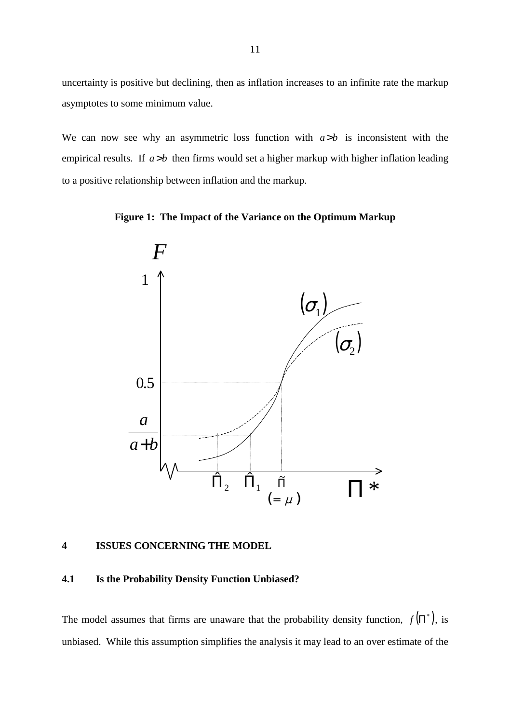<span id="page-14-0"></span>uncertainty is positive but declining, then as inflation increases to an infinite rate the markup asymptotes to some minimum value.

We can now see why an asymmetric loss function with  $a > b$  is inconsistent with the empirical results. If  $a > b$  then firms would set a higher markup with higher inflation leading to a positive relationship between inflation and the markup.





### **4 ISSUES CONCERNING THE MODEL**

#### **4.1 Is the Probability Density Function Unbiased?**

The model assumes that firms are unaware that the probability density function,  $f(\Pi^*)$ , is unbiased. While this assumption simplifies the analysis it may lead to an over estimate of the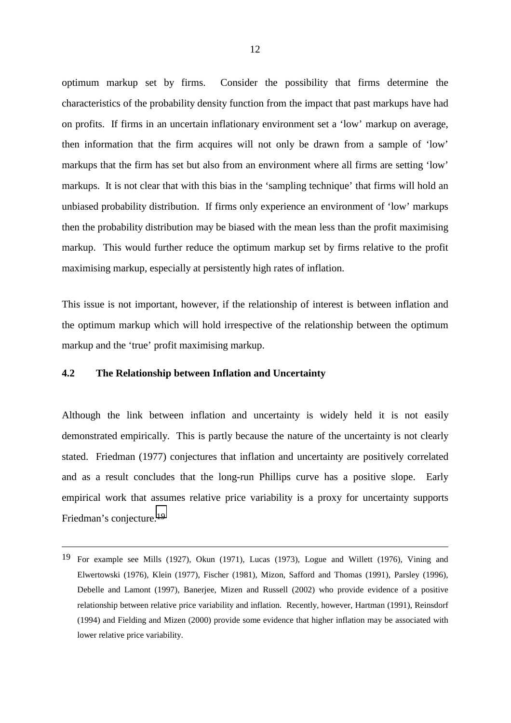<span id="page-15-0"></span>optimum markup set by firms. Consider the possibility that firms determine the characteristics of the probability density function from the impact that past markups have had on profits. If firms in an uncertain inflationary environment set a 'low' markup on average, then information that the firm acquires will not only be drawn from a sample of 'low' markups that the firm has set but also from an environment where all firms are setting 'low' markups. It is not clear that with this bias in the 'sampling technique' that firms will hold an unbiased probability distribution. If firms only experience an environment of 'low' markups then the probability distribution may be biased with the mean less than the profit maximising markup. This would further reduce the optimum markup set by firms relative to the profit maximising markup, especially at persistently high rates of inflation.

This issue is not important, however, if the relationship of interest is between inflation and the optimum markup which will hold irrespective of the relationship between the optimum markup and the 'true' profit maximising markup.

# **4.2 The Relationship between Inflation and Uncertainty**

 $\overline{a}$ 

Although the link between inflation and uncertainty is widely held it is not easily demonstrated empirically. This is partly because the nature of the uncertainty is not clearly stated. Friedman (1977) conjectures that inflation and uncertainty are positively correlated and as a result concludes that the long-run Phillips curve has a positive slope. Early empirical work that assumes relative price variability is a proxy for uncertainty supports Friedman's conjecture.19

<sup>19</sup> For example see Mills (1927), Okun (1971), Lucas (1973), Logue and Willett (1976), Vining and Elwertowski (1976), Klein (1977), Fischer (1981), Mizon, Safford and Thomas (1991), Parsley (1996), Debelle and Lamont (1997), Banerjee, Mizen and Russell (2002) who provide evidence of a positive relationship between relative price variability and inflation. Recently, however, Hartman (1991), Reinsdorf (1994) and Fielding and Mizen (2000) provide some evidence that higher inflation may be associated with lower relative price variability.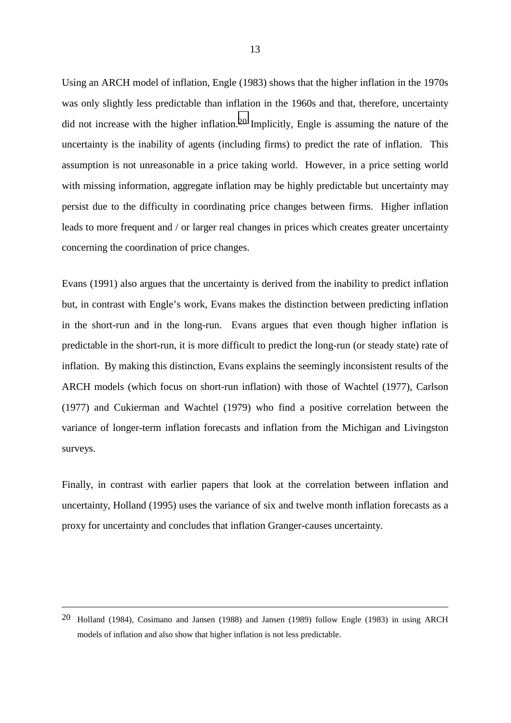Using an ARCH model of inflation, Engle (1983) shows that the higher inflation in the 1970s was only slightly less predictable than inflation in the 1960s and that, therefore, uncertainty did not increase with the higher inflation.<sup>20</sup> Implicitly, Engle is assuming the nature of the uncertainty is the inability of agents (including firms) to predict the rate of inflation. This assumption is not unreasonable in a price taking world. However, in a price setting world with missing information, aggregate inflation may be highly predictable but uncertainty may persist due to the difficulty in coordinating price changes between firms. Higher inflation leads to more frequent and / or larger real changes in prices which creates greater uncertainty concerning the coordination of price changes.

Evans (1991) also argues that the uncertainty is derived from the inability to predict inflation but, in contrast with Engle's work, Evans makes the distinction between predicting inflation in the short-run and in the long-run. Evans argues that even though higher inflation is predictable in the short-run, it is more difficult to predict the long-run (or steady state) rate of inflation. By making this distinction, Evans explains the seemingly inconsistent results of the ARCH models (which focus on short-run inflation) with those of Wachtel (1977), Carlson (1977) and Cukierman and Wachtel (1979) who find a positive correlation between the variance of longer-term inflation forecasts and inflation from the Michigan and Livingston surveys.

Finally, in contrast with earlier papers that look at the correlation between inflation and uncertainty, Holland (1995) uses the variance of six and twelve month inflation forecasts as a proxy for uncertainty and concludes that inflation Granger-causes uncertainty.

 $\overline{a}$ 

<sup>20</sup> Holland (1984), Cosimano and Jansen (1988) and Jansen (1989) follow Engle (1983) in using ARCH models of inflation and also show that higher inflation is not less predictable.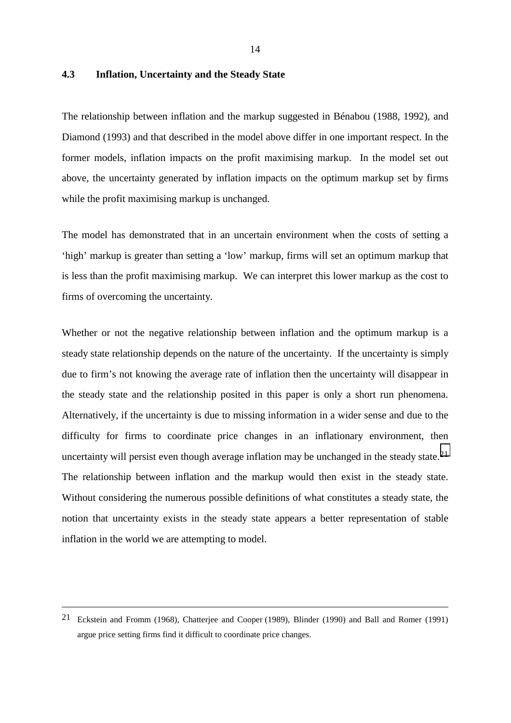# <span id="page-17-0"></span>**4.3 Inflation, Uncertainty and the Steady State**

The relationship between inflation and the markup suggested in Bénabou (1988, 1992), and Diamond (1993) and that described in the model above differ in one important respect. In the former models, inflation impacts on the profit maximising markup. In the model set out above, the uncertainty generated by inflation impacts on the optimum markup set by firms while the profit maximising markup is unchanged.

The model has demonstrated that in an uncertain environment when the costs of setting a 'high' markup is greater than setting a 'low' markup, firms will set an optimum markup that is less than the profit maximising markup. We can interpret this lower markup as the cost to firms of overcoming the uncertainty.

Whether or not the negative relationship between inflation and the optimum markup is a steady state relationship depends on the nature of the uncertainty. If the uncertainty is simply due to firm's not knowing the average rate of inflation then the uncertainty will disappear in the steady state and the relationship posited in this paper is only a short run phenomena. Alternatively, if the uncertainty is due to missing information in a wider sense and due to the difficulty for firms to coordinate price changes in an inflationary environment, then uncertainty will persist even though average inflation may be unchanged in the steady state.<sup>21</sup> The relationship between inflation and the markup would then exist in the steady state. Without considering the numerous possible definitions of what constitutes a steady state, the notion that uncertainty exists in the steady state appears a better representation of stable inflation in the world we are attempting to model.

 $\overline{a}$ 

<sup>21</sup> Eckstein and Fromm (1968), Chatterjee and Cooper (1989), Blinder (1990) and Ball and Romer (1991) argue price setting firms find it difficult to coordinate price changes.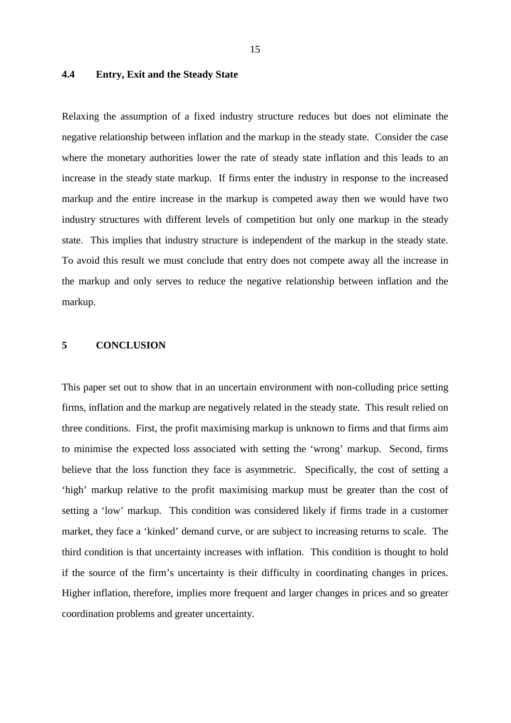# <span id="page-18-0"></span>**4.4 Entry, Exit and the Steady State**

Relaxing the assumption of a fixed industry structure reduces but does not eliminate the negative relationship between inflation and the markup in the steady state. Consider the case where the monetary authorities lower the rate of steady state inflation and this leads to an increase in the steady state markup. If firms enter the industry in response to the increased markup and the entire increase in the markup is competed away then we would have two industry structures with different levels of competition but only one markup in the steady state. This implies that industry structure is independent of the markup in the steady state. To avoid this result we must conclude that entry does not compete away all the increase in the markup and only serves to reduce the negative relationship between inflation and the markup.

# **5 CONCLUSION**

This paper set out to show that in an uncertain environment with non-colluding price setting firms, inflation and the markup are negatively related in the steady state. This result relied on three conditions. First, the profit maximising markup is unknown to firms and that firms aim to minimise the expected loss associated with setting the 'wrong' markup. Second, firms believe that the loss function they face is asymmetric. Specifically, the cost of setting a 'high' markup relative to the profit maximising markup must be greater than the cost of setting a 'low' markup. This condition was considered likely if firms trade in a customer market, they face a 'kinked' demand curve, or are subject to increasing returns to scale. The third condition is that uncertainty increases with inflation. This condition is thought to hold if the source of the firm's uncertainty is their difficulty in coordinating changes in prices. Higher inflation, therefore, implies more frequent and larger changes in prices and so greater coordination problems and greater uncertainty.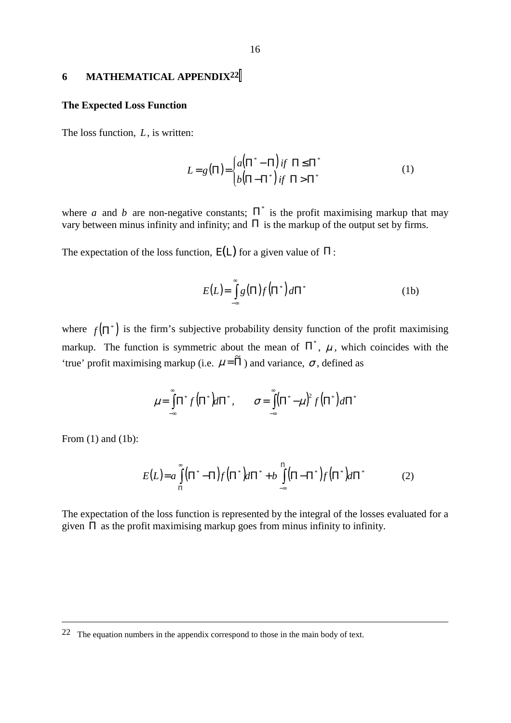#### <span id="page-19-0"></span>**6 MATHEMATICAL APPENDIX22**

#### **The Expected Loss Function**

The loss function, *L*, is written:

$$
L = g(\Pi) = \begin{cases} a(\Pi^* - \Pi) & \text{if } \Pi \leq \Pi^* \\ b(\Pi - \Pi^*) & \text{if } \Pi > \Pi^* \end{cases} \tag{1}
$$

where *a* and *b* are non-negative constants;  $\Pi^*$  is the profit maximising markup that may vary between minus infinity and infinity; and  $\Pi$  is the markup of the output set by firms.

The expectation of the loss function,  $E(L)$  for a given value of  $\Pi$ :

$$
E(L) = \int_{-\infty}^{\infty} g(\Pi) f(\Pi^*) d\Pi^*
$$
 (1b)

where  $f(\Pi^*)$  is the firm's subjective probability density function of the profit maximising markup. The function is symmetric about the mean of  $\Pi^*$ ,  $\mu$ , which coincides with the 'true' profit maximising markup (i.e.  $\mu = \tilde{\Pi}$ ) and variance,  $\sigma$ , defined as

$$
\mu = \int_{-\infty}^{\infty} \Pi^* f(\Pi^*) d\Pi^*, \qquad \sigma = \int_{-\infty}^{\infty} (\Pi^* - \mu)^2 f(\Pi^*) d\Pi^*
$$

From (1) and (1b):

 $\overline{a}$ 

$$
E(L) = a \int_{\Pi}^{\infty} (\Pi^* - \Pi) f(\Pi^*) d\Pi^* + b \int_{-\infty}^{\Pi} (\Pi - \Pi^*) f(\Pi^*) d\Pi^* \tag{2}
$$

The expectation of the loss function is represented by the integral of the losses evaluated for a given  $\Pi$  as the profit maximising markup goes from minus infinity to infinity.

 $22$  The equation numbers in the appendix correspond to those in the main body of text.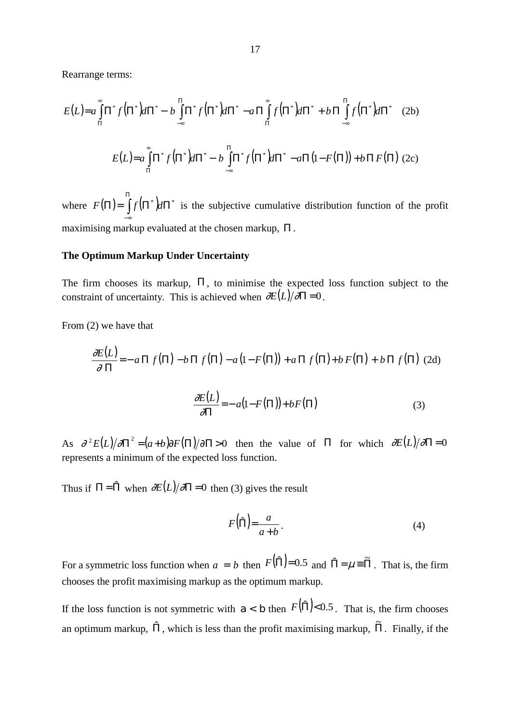Rearrange terms:

$$
E(L) = a \int_{\Pi}^{\infty} \Pi^* f(\Pi^*) d\Pi^* - b \int_{-\infty}^{\Pi} \Pi^* f(\Pi^*) d\Pi^* - a \Pi \int_{\Pi}^{\infty} f(\Pi^*) d\Pi^* + b \Pi \int_{-\infty}^{\Pi} f(\Pi^*) d\Pi^* \quad (2b)
$$
  

$$
E(L) = a \int_{\Pi}^{\infty} \Pi^* f(\Pi^*) d\Pi^* - b \int_{-\infty}^{\Pi} \Pi^* f(\Pi^*) d\Pi^* - a \Pi (1 - F(\Pi)) + b \Pi F(\Pi) \quad (2c)
$$

where  $F(\Pi) = \int_{0}^{\Pi} f(\Pi^*) d\Pi^*$ −∞  $F(\Pi) = |f(\Pi^*)d\Pi^*|$  is the subjective cumulative distribution function of the profit maximising markup evaluated at the chosen markup, Π .

#### **The Optimum Markup Under Uncertainty**

The firm chooses its markup,  $\Pi$ , to minimise the expected loss function subject to the constraint of uncertainty. This is achieved when  $\frac{\partial E(L)}{\partial \Pi} = 0$ .

From (2) we have that

$$
\frac{\partial E(L)}{\partial \Pi} = -a \Pi f(\Pi) - b \Pi f(\Pi) - a(1 - F(\Pi)) + a \Pi f(\Pi) + b F(\Pi) + b \Pi f(\Pi)
$$
 (2d)

$$
\frac{\partial E(L)}{\partial \Pi} = -a(1 - F(\Pi)) + bF(\Pi) \tag{3}
$$

As  $\partial^2 E(L) / \partial \Pi^2 = (a+b) \partial F(\Pi) / \partial \Pi > 0$  then the value of  $\Pi$  for which  $\partial E(L) / \partial \Pi = 0$ represents a minimum of the expected loss function.

Thus if  $\Pi = \hat{\Pi}$  when  $\partial E(L)/\partial\Pi = 0$  then (3) gives the result

$$
F(\hat{\Pi}) = \frac{a}{a+b} \,. \tag{4}
$$

For a symmetric loss function when  $a = b$  then  $F(\hat{\Pi}) = 0.5$  and  $\hat{\Pi} = \mu \equiv \tilde{\Pi}$ . That is, the firm chooses the profit maximising markup as the optimum markup.

If the loss function is not symmetric with  $a < b$  then  $F(\hat{\Pi}) < 0.5$ . That is, the firm chooses an optimum markup,  $\hat{\Pi}$ , which is less than the profit maximising markup,  $\tilde{\Pi}$ . Finally, if the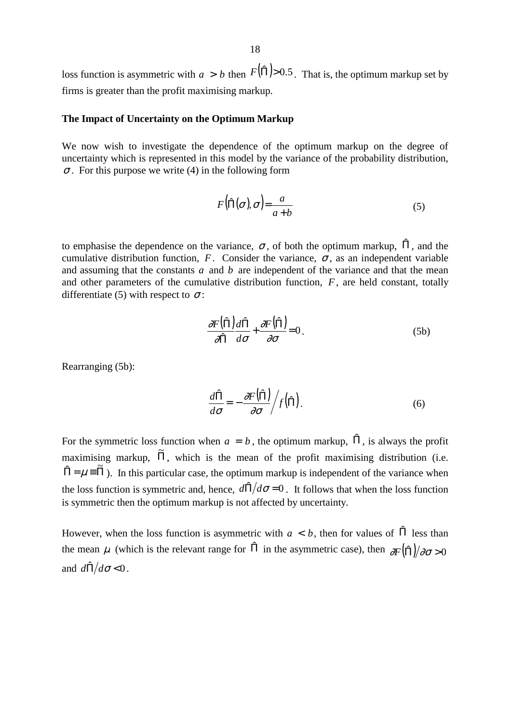loss function is asymmetric with  $a > b$  then  $F(\hat{\Pi}) > 0.5$ . That is, the optimum markup set by firms is greater than the profit maximising markup.

# **The Impact of Uncertainty on the Optimum Markup**

We now wish to investigate the dependence of the optimum markup on the degree of uncertainty which is represented in this model by the variance of the probability distribution,  $\sigma$ . For this purpose we write (4) in the following form

$$
F(\hat{\Pi}(\sigma), \sigma) = \frac{a}{a+b} \tag{5}
$$

to emphasise the dependence on the variance,  $\sigma$ , of both the optimum markup,  $\hat{\Pi}$ , and the cumulative distribution function, *F*. Consider the variance,  $\sigma$ , as an independent variable and assuming that the constants *a* and *b* are independent of the variance and that the mean and other parameters of the cumulative distribution function, *F*, are held constant, totally differentiate (5) with respect to  $\sigma$ :

$$
\frac{\partial F(\hat{\Pi})}{\partial \hat{\Pi}} \frac{d\hat{\Pi}}{d\sigma} + \frac{\partial F(\hat{\Pi})}{\partial \sigma} = 0.
$$
 (5b)

Rearranging (5b):

$$
\frac{d\hat{\Pi}}{d\sigma} = -\frac{\partial F(\hat{\Pi})}{\partial \sigma} / f(\hat{\Pi}).
$$
\n(6)

For the symmetric loss function when  $a = b$ , the optimum markup,  $\hat{\Pi}$ , is always the profit maximising markup,  $\tilde{\Pi}$ , which is the mean of the profit maximising distribution (i.e.  $\hat{\Pi} = \mu \equiv \tilde{\Pi}$ ). In this particular case, the optimum markup is independent of the variance when the loss function is symmetric and, hence,  $d\hat{\Pi}/d\sigma = 0$ . It follows that when the loss function is symmetric then the optimum markup is not affected by uncertainty.

However, when the loss function is asymmetric with  $a < b$ , then for values of  $\hat{\Pi}$  less than the mean  $\mu$  (which is the relevant range for  $\hat{\Pi}$  in the asymmetric case), then  $\frac{\partial F(\hat{\Pi})}{\partial \sigma} > 0$ and  $d\hat{\Pi}/d\sigma < 0$ .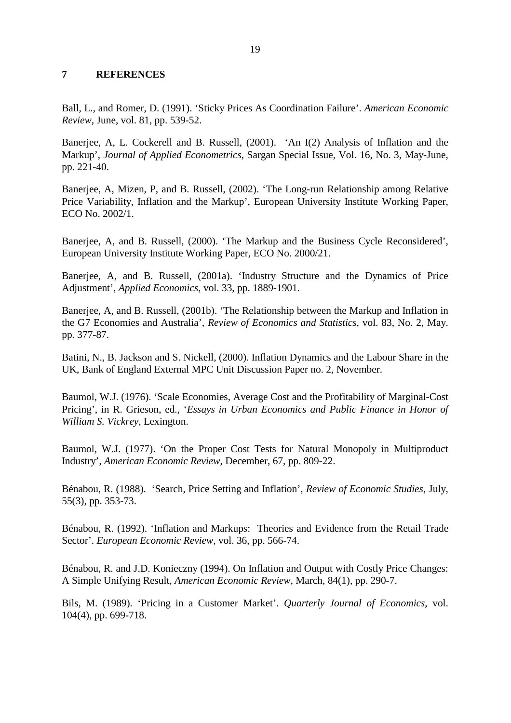# <span id="page-22-0"></span>**7 REFERENCES**

Ball, L., and Romer, D. (1991). 'Sticky Prices As Coordination Failure'. *American Economic Review*, June, vol. 81, pp. 539-52.

Banerjee, A, L. Cockerell and B. Russell, (2001). 'An I(2) Analysis of Inflation and the Markup', *Journal of Applied Econometrics*, Sargan Special Issue, Vol. 16, No. 3, May-June, pp. 221-40.

Banerjee, A, Mizen, P, and B. Russell, (2002). 'The Long-run Relationship among Relative Price Variability, Inflation and the Markup', European University Institute Working Paper, ECO No. 2002/1.

Banerjee, A, and B. Russell, (2000). 'The Markup and the Business Cycle Reconsidered', European University Institute Working Paper, ECO No. 2000/21.

Banerjee, A, and B. Russell, (2001a). 'Industry Structure and the Dynamics of Price Adjustment', *Applied Economics*, vol. 33, pp. 1889-1901.

Banerjee, A, and B. Russell, (2001b). 'The Relationship between the Markup and Inflation in the G7 Economies and Australia', *Review of Economics and Statistics*, vol. 83, No. 2, May. pp. 377-87.

Batini, N., B. Jackson and S. Nickell, (2000). Inflation Dynamics and the Labour Share in the UK, Bank of England External MPC Unit Discussion Paper no. 2, November.

Baumol, W.J. (1976). 'Scale Economies, Average Cost and the Profitability of Marginal-Cost Pricing', in R. Grieson, ed., '*Essays in Urban Economics and Public Finance in Honor of William S. Vickrey*, Lexington.

Baumol, W.J. (1977). 'On the Proper Cost Tests for Natural Monopoly in Multiproduct Industry', *American Economic Review*, December, 67, pp. 809-22.

Bénabou, R. (1988). 'Search, Price Setting and Inflation', *Review of Economic Studies*, July, 55(3), pp. 353-73.

Bénabou, R. (1992). 'Inflation and Markups: Theories and Evidence from the Retail Trade Sector'. *European Economic Review*, vol. 36, pp. 566-74.

Bénabou, R. and J.D. Konieczny (1994). On Inflation and Output with Costly Price Changes: A Simple Unifying Result, *American Economic Review*, March, 84(1), pp. 290-7.

Bils, M. (1989). 'Pricing in a Customer Market'. *Quarterly Journal of Economics,* vol. 104(4), pp. 699-718.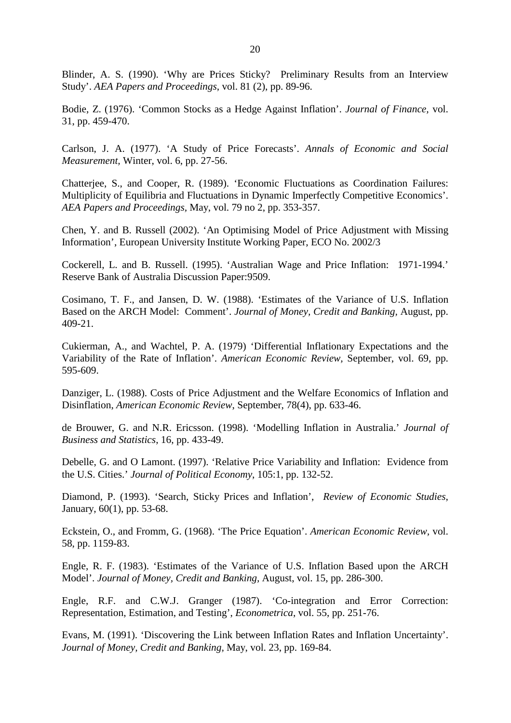Blinder, A. S. (1990). 'Why are Prices Sticky? Preliminary Results from an Interview Study'. *AEA Papers and Proceedings*, vol. 81 (2), pp. 89-96.

Bodie, Z. (1976). 'Common Stocks as a Hedge Against Inflation'. *Journal of Finance,* vol. 31, pp. 459-470.

Carlson, J. A. (1977). 'A Study of Price Forecasts'. *Annals of Economic and Social Measurement,* Winter, vol. 6, pp. 27-56.

Chatterjee, S., and Cooper, R. (1989). 'Economic Fluctuations as Coordination Failures: Multiplicity of Equilibria and Fluctuations in Dynamic Imperfectly Competitive Economics'. *AEA Papers and Proceedings,* May, vol. 79 no 2, pp. 353-357.

Chen, Y. and B. Russell (2002). 'An Optimising Model of Price Adjustment with Missing Information', European University Institute Working Paper, ECO No. 2002/3

Cockerell, L. and B. Russell. (1995). 'Australian Wage and Price Inflation: 1971-1994.' Reserve Bank of Australia Discussion Paper:9509.

Cosimano, T. F., and Jansen, D. W. (1988). 'Estimates of the Variance of U.S. Inflation Based on the ARCH Model: Comment'. *Journal of Money, Credit and Banking,* August, pp. 409-21.

Cukierman, A., and Wachtel, P. A. (1979) 'Differential Inflationary Expectations and the Variability of the Rate of Inflation'. *American Economic Review,* September, vol. 69, pp. 595-609.

Danziger, L. (1988). Costs of Price Adjustment and the Welfare Economics of Inflation and Disinflation, *American Economic Review*, September, 78(4), pp. 633-46.

de Brouwer, G. and N.R. Ericsson. (1998). 'Modelling Inflation in Australia.' *Journal of Business and Statistics*, 16, pp. 433-49.

Debelle, G. and O Lamont. (1997). 'Relative Price Variability and Inflation: Evidence from the U.S. Cities.' *Journal of Political Economy*, 105:1, pp. 132-52.

Diamond, P. (1993). 'Search, Sticky Prices and Inflation', *Review of Economic Studies*, January, 60(1), pp. 53-68.

Eckstein, O., and Fromm, G. (1968). 'The Price Equation'. *American Economic Review,* vol. 58, pp. 1159-83.

Engle, R. F. (1983). 'Estimates of the Variance of U.S. Inflation Based upon the ARCH Model'. *Journal of Money, Credit and Banking,* August, vol. 15, pp. 286-300.

Engle, R.F. and C.W.J. Granger (1987). 'Co-integration and Error Correction: Representation, Estimation, and Testing', *Econometrica*, vol. 55, pp. 251-76.

Evans, M. (1991). 'Discovering the Link between Inflation Rates and Inflation Uncertainty'. *Journal of Money, Credit and Banking,* May, vol. 23, pp. 169-84.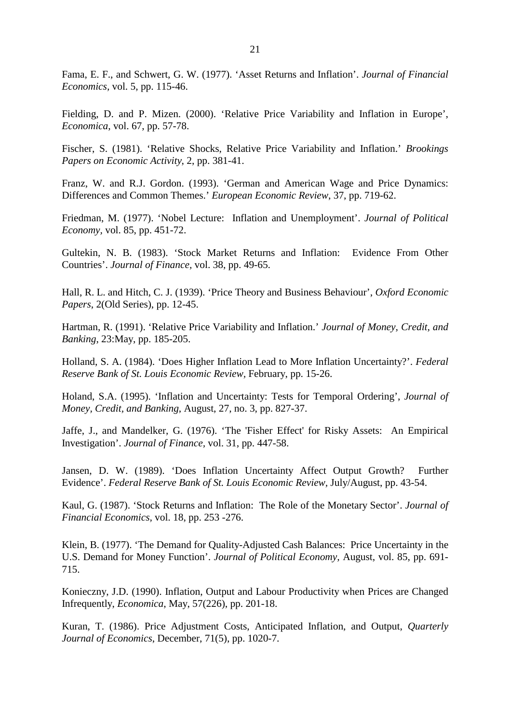Fama, E. F., and Schwert, G. W. (1977). 'Asset Returns and Inflation'. *Journal of Financial Economics,* vol. 5, pp. 115-46.

Fielding, D. and P. Mizen. (2000). 'Relative Price Variability and Inflation in Europe', *Economica*, vol. 67, pp. 57-78.

Fischer, S. (1981). 'Relative Shocks, Relative Price Variability and Inflation.' *Brookings Papers on Economic Activity*, 2, pp. 381-41.

Franz, W. and R.J. Gordon. (1993). 'German and American Wage and Price Dynamics: Differences and Common Themes.' *European Economic Review*, 37, pp. 719-62.

Friedman, M. (1977). 'Nobel Lecture: Inflation and Unemployment'. *Journal of Political Economy,* vol. 85, pp. 451-72.

Gultekin, N. B. (1983). 'Stock Market Returns and Inflation: Evidence From Other Countries'. *Journal of Finance,* vol. 38, pp. 49-65.

Hall, R. L. and Hitch, C. J. (1939). 'Price Theory and Business Behaviour', *Oxford Economic Papers*, 2(Old Series), pp. 12-45.

Hartman, R. (1991). 'Relative Price Variability and Inflation.' *Journal of Money, Credit, and Banking*, 23:May, pp. 185-205.

Holland, S. A. (1984). 'Does Higher Inflation Lead to More Inflation Uncertainty?'. *Federal Reserve Bank of St. Louis Economic Review,* February, pp. 15-26.

Holand, S.A. (1995). 'Inflation and Uncertainty: Tests for Temporal Ordering', *Journal of Money, Credit, and Banking*, August, 27, no. 3, pp. 827-37.

Jaffe, J., and Mandelker, G. (1976). 'The 'Fisher Effect' for Risky Assets: An Empirical Investigation'. *Journal of Finance,* vol. 31, pp. 447-58.

Jansen, D. W. (1989). 'Does Inflation Uncertainty Affect Output Growth? Further Evidence'. *Federal Reserve Bank of St. Louis Economic Review,* July/August, pp. 43-54.

Kaul, G. (1987). 'Stock Returns and Inflation: The Role of the Monetary Sector'. *Journal of Financial Economics,* vol. 18, pp. 253 -276.

Klein, B. (1977). 'The Demand for Quality-Adjusted Cash Balances: Price Uncertainty in the U.S. Demand for Money Function'. *Journal of Political Economy,* August, vol. 85, pp. 691- 715.

Konieczny, J.D. (1990). Inflation, Output and Labour Productivity when Prices are Changed Infrequently, *Economica*, May, 57(226), pp. 201-18.

Kuran, T. (1986). Price Adjustment Costs, Anticipated Inflation, and Output, *Quarterly Journal of Economics*, December, 71(5), pp. 1020-7.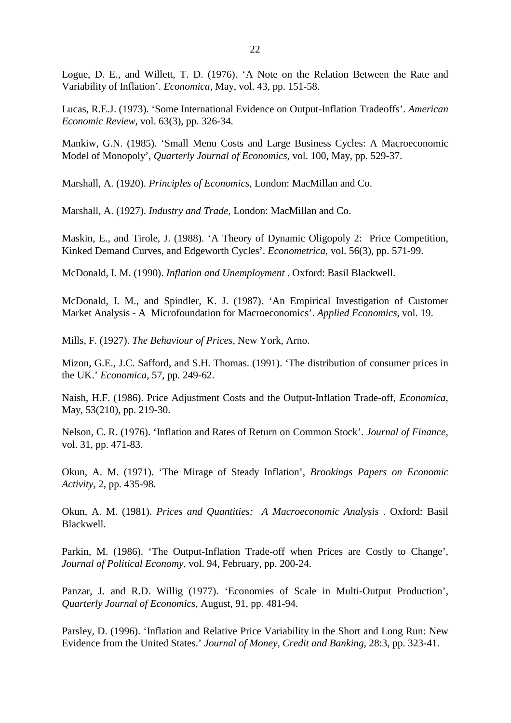Logue, D. E., and Willett, T. D. (1976). 'A Note on the Relation Between the Rate and Variability of Inflation'. *Economica,* May, vol. 43, pp. 151-58.

Lucas, R.E.J. (1973). 'Some International Evidence on Output-Inflation Tradeoffs'. *American Economic Review,* vol. 63(3), pp. 326-34.

Mankiw, G.N. (1985). 'Small Menu Costs and Large Business Cycles: A Macroeconomic Model of Monopoly', *Quarterly Journal of Economics*, vol. 100, May, pp. 529-37.

Marshall, A. (1920). *Principles of Economics*, London: MacMillan and Co.

Marshall, A. (1927). *Industry and Trade*, London: MacMillan and Co.

Maskin, E., and Tirole, J. (1988). 'A Theory of Dynamic Oligopoly 2: Price Competition, Kinked Demand Curves, and Edgeworth Cycles'. *Econometrica,* vol. 56(3), pp. 571-99.

McDonald, I. M. (1990). *Inflation and Unemployment* . Oxford: Basil Blackwell.

McDonald, I. M., and Spindler, K. J. (1987). 'An Empirical Investigation of Customer Market Analysis - A Microfoundation for Macroeconomics'. *Applied Economics,* vol. 19.

Mills, F. (1927). *The Behaviour of Prices*, New York, Arno.

Mizon, G.E., J.C. Safford, and S.H. Thomas. (1991). 'The distribution of consumer prices in the UK.' *Economica*, 57, pp. 249-62.

Naish, H.F. (1986). Price Adjustment Costs and the Output-Inflation Trade-off, *Economica*, May, 53(210), pp. 219-30.

Nelson, C. R. (1976). 'Inflation and Rates of Return on Common Stock'. *Journal of Finance,* vol. 31, pp. 471-83.

Okun, A. M. (1971). 'The Mirage of Steady Inflation', *Brookings Papers on Economic Activity*, 2, pp. 435-98.

Okun, A. M. (1981). *Prices and Quantities: A Macroeconomic Analysis* . Oxford: Basil Blackwell.

Parkin, M. (1986). 'The Output-Inflation Trade-off when Prices are Costly to Change', *Journal of Political Economy*, vol. 94, February, pp. 200-24.

Panzar, J. and R.D. Willig (1977). 'Economies of Scale in Multi-Output Production', *Quarterly Journal of Economics*, August, 91, pp. 481-94.

Parsley, D. (1996). 'Inflation and Relative Price Variability in the Short and Long Run: New Evidence from the United States.' *Journal of Money, Credit and Banking*, 28:3, pp. 323-41.